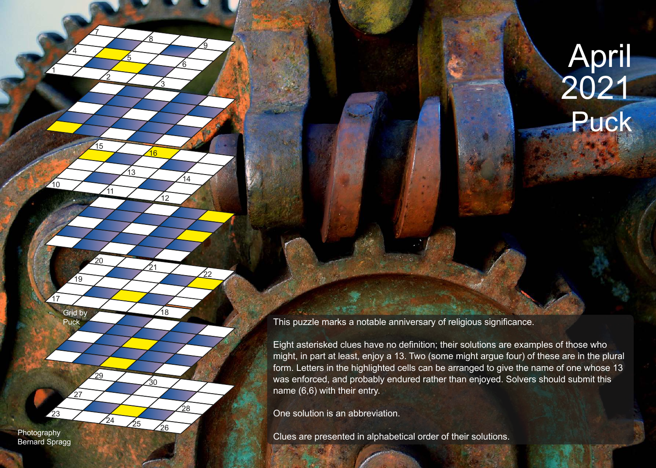## April 2021 Puck

This puzzle marks a notable anniversary of religious significance.

Eight asterisked clues have no definition; their solutions are examples of those who might, in part at least, enjoy a 13. Two (some might argue four) of these are in the plural form. Letters in the highlighted cells can be arranged to give the name of one whose 13 was enforced, and probably endured rather than enjoyed. Solvers should submit this name (6,6) with their entry.

One solution is an abbreviation.

Photography<br>Clues are presented in alphabetical order of their solutions.

Bernard Spragg

23

1

10

 $\overline{4}$ 

Grid by<br>Puck

27

19

17

2

11

15

20

29

 $\frac{24}{25}$ 

7

<u>5</u>

13

<u>3</u>

 $\overline{12}$ 

 $\frac{1}{18}$ 

26

30

28

21

16

8

6

14

22

<u>ପ</u>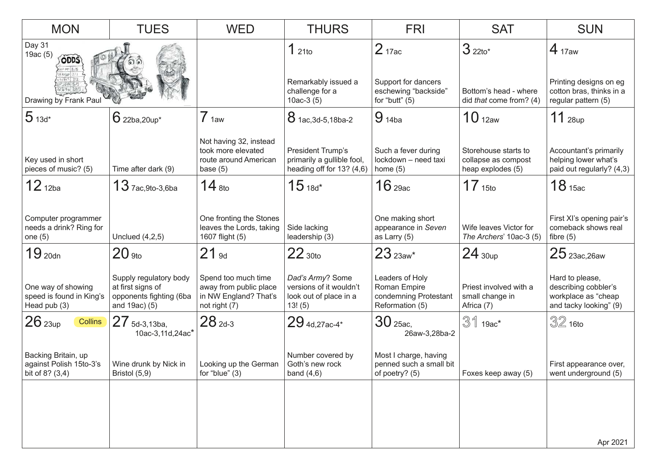| <b>MON</b>                                                                                          | <b>TUES</b>                                                                             | <b>WED</b>                                                                              | <b>THURS</b>                                                                     | <b>FRI</b>                                                                           | <b>SAT</b>                                                       | <b>SUN</b>                                                                               |
|-----------------------------------------------------------------------------------------------------|-----------------------------------------------------------------------------------------|-----------------------------------------------------------------------------------------|----------------------------------------------------------------------------------|--------------------------------------------------------------------------------------|------------------------------------------------------------------|------------------------------------------------------------------------------------------|
| Day 31<br>19ac $(5)$<br><b>ODDS</b><br>0.151418/5<br>18000 2/1<br>19th 5/1<br>Drawing by Frank Paul |                                                                                         |                                                                                         | 121to<br>Remarkably issued a<br>challenge for a<br>10ac-3 $(5)$                  | 2 <sub>17ac</sub><br>Support for dancers<br>eschewing "backside"<br>for "butt" $(5)$ | $32210*$<br>Bottom's head - where<br>did that come from? (4)     | $4_{17aw}$<br>Printing designs on eg<br>cotton bras, thinks in a<br>regular pattern (5)  |
| $513d*$                                                                                             | $6$ 22ba, 20up*                                                                         | 7 <sub>1aw</sub>                                                                        | 8 1ac, 3d-5, 18ba-2                                                              | $9_{14ba}$                                                                           | 10 <sub>12aw</sub>                                               | $11$ 28up                                                                                |
| Key used in short<br>pieces of music? (5)                                                           | Time after dark (9)                                                                     | Not having 32, instead<br>took more elevated<br>route around American<br>base $(5)$     | President Trump's<br>primarily a gullible fool,<br>heading off for 13? (4,6)     | Such a fever during<br>lockdown - need taxi<br>home $(5)$                            | Storehouse starts to<br>collapse as compost<br>heap explodes (5) | Accountant's primarily<br>helping lower what's<br>paid out regularly? (4,3)              |
| $12_{12ba}$                                                                                         | $13$ $7a$ c, 9to-3,6ba                                                                  | $14$ $_{8}$ to                                                                          | $15_{18d}$ *                                                                     | 16 <sub>29ac</sub>                                                                   | 17 <sub>15to</sub>                                               | 18 <sub>15ac</sub>                                                                       |
| Computer programmer<br>needs a drink? Ring for<br>one $(5)$                                         | Unclued $(4,2,5)$                                                                       | One fronting the Stones<br>leaves the Lords, taking<br>1607 flight (5)                  | Side lacking<br>leadership (3)                                                   | One making short<br>appearance in Seven<br>as Larry (5)                              | Wife leaves Victor for<br>The Archers' 10ac-3 (5)                | First XI's opening pair's<br>comeback shows real<br>fibre $(5)$                          |
| 19 <sub>20dn</sub>                                                                                  | $20$ 9to                                                                                | $21$ 9d                                                                                 | $22$ 30to                                                                        | $23$ $_{23aw*}$                                                                      | $24_{30up}$                                                      | $25$ 23ac, 26aw                                                                          |
| One way of showing<br>speed is found in King's<br>Head pub (3)                                      | Supply regulatory body<br>at first signs of<br>opponents fighting (6ba<br>and 19ac) (5) | Spend too much time<br>away from public place<br>in NW England? That's<br>not right (7) | Dad's Army? Some<br>versions of it wouldn't<br>look out of place in a<br>13! (5) | Leaders of Holy<br>Roman Empire<br>condemning Protestant<br>Reformation (5)          | Priest involved with a<br>small change in<br>Africa (7)          | Hard to please,<br>describing cobbler's<br>workplace as "cheap<br>and tacky looking" (9) |
| $26$ $_{23up}$<br><b>Collins</b>                                                                    | 27 5d-3,13ba,<br>10ac-3,11d,24ac'                                                       | $28_{2d-3}$                                                                             | $29$ 4d, 27ac-4*                                                                 | 30 25ac,<br>26aw-3,28ba-2                                                            | $31$ 19ac*                                                       | $32$ 16to                                                                                |
| Backing Britain, up<br>against Polish 15to-3's<br>bit of 8? (3,4)                                   | Wine drunk by Nick in<br>Bristol (5,9)                                                  | Looking up the German<br>for "blue" $(3)$                                               | Number covered by<br>Goth's new rock<br>band $(4,6)$                             | Most I charge, having<br>penned such a small bit<br>of poetry? (5)                   | Foxes keep away (5)                                              | First appearance over,<br>went underground (5)                                           |
|                                                                                                     |                                                                                         |                                                                                         |                                                                                  |                                                                                      |                                                                  |                                                                                          |
|                                                                                                     |                                                                                         |                                                                                         |                                                                                  |                                                                                      |                                                                  | Apr 2021                                                                                 |